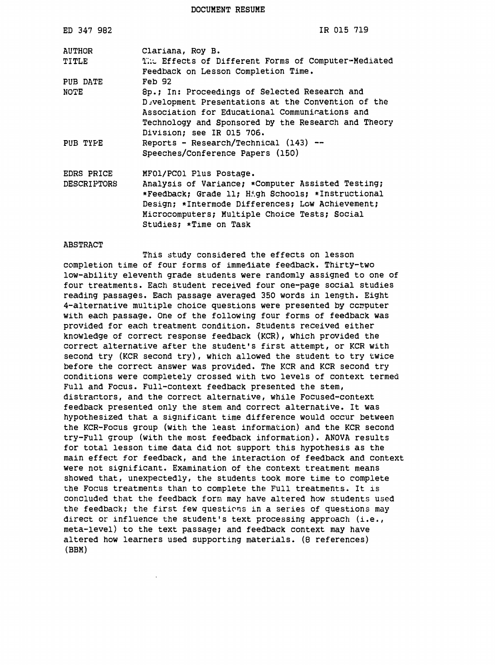DOCUMENT RESUME

| ED 347 982         | IR 015 719                                                                                                                                                                                                                                |
|--------------------|-------------------------------------------------------------------------------------------------------------------------------------------------------------------------------------------------------------------------------------------|
| <b>AUTHOR</b>      | Clariana, Roy B.                                                                                                                                                                                                                          |
| TITLE              | The Effects of Different Forms of Computer-Mediated<br>Feedback on Lesson Completion Time.                                                                                                                                                |
| PUB DATE           | <b>Feb 92</b>                                                                                                                                                                                                                             |
| NOTE               | 8p.; In: Proceedings of Selected Research and<br>Development Presentations at the Convention of the<br>Association for Educational Communications and<br>Technology and Sponsored by the Research and Theory<br>Division; see IR 015 706. |
| PUB TYPE           | Reports - Research/Technical $(143)$ --<br>Speeches/Conference Papers (150)                                                                                                                                                               |
| EDRS PRICE         | MFO1/PCO1 Plus Postage.                                                                                                                                                                                                                   |
| <b>DESCRIPTORS</b> | Analysis of Variance; *Computer Assisted Testing;<br>*Feedback; Grade 11; High Schools; *Instructional<br>Design; *Intermode Differences; Low Achievement;<br>Microcomputers; Multiple Choice Tests; Social<br>Studies; *Time on Task     |

#### ABSTRACT

This study considered the effects on lesson completion time of four forms of immediate feedback. Thirty-two low-ability eleventh grade students were randomly assigned to one of four treatments. Each student received four one-page social studies reading passages. Each passage averaged 350 words in length. Eight 4-alternative multiple choice questions were presented by ccmputer with each passage. One of the following four forms of feedback was provided for each treatment condition. Students received either knowledge of correct response feedback (KCR), which provided the correct alternative after the student's first attempt, or KCR with second try (KCR second try}, which allowed the student to try twice before the correct answer was provided. The KCR and KCR second try conditions were completely crossed with two levels of context termed Full and Focus. Full-context feedback presented the stem, distractors, and the correct alternative, while Focused-context feedback presented only the stem and correct alternative. It was hypothesized that a significant time difference would occur between the KCR-Focus group (with the least information) and the KCR second try-Full group (with the most feedback information). ANOVA results for total lesson time data did not support this hypothesis as the main effect for feedback, and the interaction of feedback and context were not significant. Examination of the context treatment means showed that, unexpectedly, the students took more time to complete the Focus treatments than to complete the Full treatments. It is concluded that the feedback form may have altered how students used the feedback; the first few questions in a series of questions may direct or influence the student's text processing approach (i.e., meta-level) to the text passage; and feedback context may have altered how learners used supporting materials. (8 references) (BBM)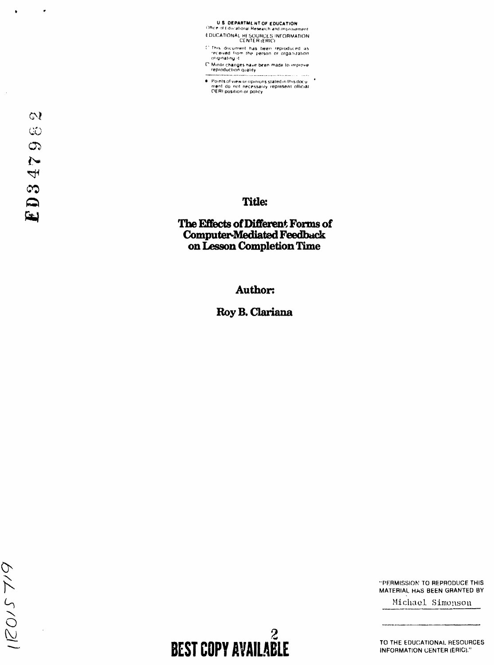U-S: DEPARTMLNT OF EDUCATION<br>Office of Educational Research and improvement

t DUCATIONAL HE SOURCES INFORMATION<br>CENTER (ERICI

: 'This document has been reproduced as<br>- 'eceived from the person or organization<br>- originating it

- C' Minor changes have been made to improve.<br>- reproduction quality
- Points of view or opinions stated in this docu<br>- men! do inot inecessarily represent official<br>- OERI position or policy

 $\bar{z}$ 

J.

## **Title:**

# **The Effects of Different Forms of Computer-Mediated Feedback on Lesson Completion 1ime**

**Author:** 

**Roy B.** Clariana

"PERMISSION TO REPRODUCE THIS MATERIAL. HAS BEEN GRANTED BY

Michael Simonson

TO THE EDUCATIONAL RESOURCES INFORMATION CENTER (ERIC)."

2 **BEST COPY AVAILABLE**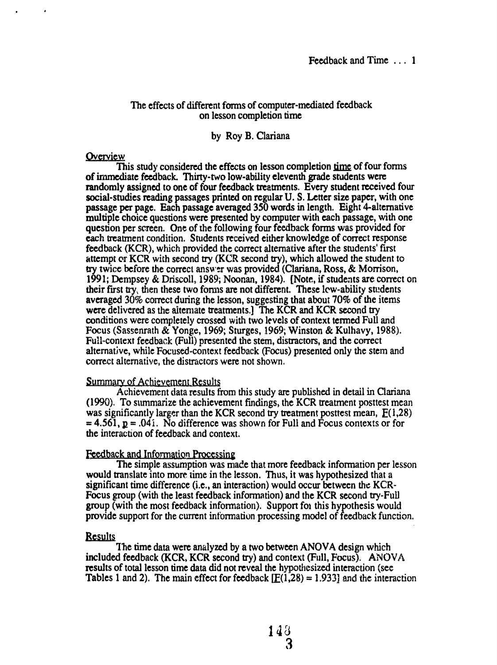#### The effects of different forms of computer-mediated feedback on lesson completion time

### by Roy B. Clariana

#### **Overview**

This study considered the effects on lesson completion <u>time</u> of four forms of immediate feedback. Thirty-two low-ability eleventh grade students were randomly assigned to one of four feedback treatments. Every student received four social-studies reading passages printed on regular U.S. Letter size paper, with one passage per page. Each passage averaged 350 words in length. Eight 4-altemative multiple choice questions were presented by computer with each passage, with one question per screen. One of the following four feedback forms was provided for each treatment condition. Students received either knowledge of correct response feedback (KCR), which provided the correct alternative after the students' first attempt or KCR with second try (KCR second try), which allowed the student to try twice before the correct answ~r was provided (Clariana, Ross, & Morrison, 1991; Dempsey & Driscoll, 1989; Noonan, 1984). [Note, if students are correct on their first try, then these two forms are not different. These low-ability students averaged 30% correct during the lesson, suggesting that about 70% of the items were delivered as the aitemate treatments.] The KCR and KCR second try conditions were completely crossed with two levels of context termed Full and Focus (Sassenrath & Yonge, 1969; Sturges, 1969; Winston & Kulhavy, 1988). Full-context feedback (Full) presented the stem, distractors, and the correct alternative, while Focused-context feedback (Focus) presented only the stem and correct alternative, the distractors were not shown.

#### **Summary of Achievement Results**

Achievement data results from this study are published in detail in Clariana (1990). To summarize the achievement findings, the KCR treatment posttest mean was significantly larger than the KCR second try treatment posttest mean,  $E(1,28)$  $= 4.561$ ,  $p = .041$ . No difference was shown for Full and Focus contexts or for the interaction of feedback and context.

## Feedback and Information Processing

The simple assumption was made that more feedback information per lesson would translate into more time in the lesson. Thus, it was hypothesized that a significant time difference (i.e., an interaction) would occur between the  $KCR-$ Focus group (with the least feedback information) and the KCR second try-Full group (with the most feedback infonnation). Support fot this hypothesis would provide support for the current information processing model of feedback function.

#### **Results**

The time data were analyzed by a two between ANOVA design which included feedback (KCR, KCR second try) and context (Full, Focus). ANOV A results of total lesson time data did not reveal the hypothesized interaction (see Tables 1 and 2). The main effect for feedback  $[**E**(1,28) = 1.933]$  and the interaction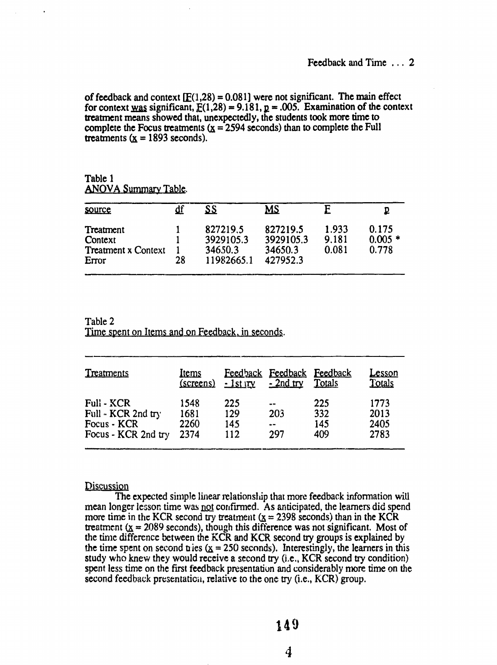of feedback and context  $[**F**(1,28) = 0.081]$  were not significant. The main effect for context was significant,  $E(1,28) = 9.181$ ,  $p = .005$ . Examination of the context treatment means showed that, unexpectedly, the students took more time to complete the Focus treatments  $(x = 2594$  seconds) than to complete the Full treatments  $(x = 1893$  seconds).

Table 1 ANOVA Summary Table.

| source                                                      |    | SS                                             | <u>MS</u>                                    |                         |                            |
|-------------------------------------------------------------|----|------------------------------------------------|----------------------------------------------|-------------------------|----------------------------|
| Treatment<br>Context<br><b>Treatment x Context</b><br>Error | 28 | 827219.5<br>3929105.3<br>34650.3<br>11982665.1 | 827219.5<br>3929105.3<br>34650.3<br>427952.3 | 1.933<br>9.181<br>0.081 | 0.175<br>$0.005*$<br>0.778 |

Table 2 Time spent on Items and on Feedback, in seconds.

| Treatments          | <u>Items</u><br>(screens) | Feedback<br>$-1$ st $\Gamma$ | <b>Feedback</b><br>$-2nd$ try  | <b>Feedback</b><br>Totals | <u>Lesson</u><br>Totals |  |
|---------------------|---------------------------|------------------------------|--------------------------------|---------------------------|-------------------------|--|
| <b>Full - KCR</b>   | 1548                      | 225                          | $\frac{1}{2}$                  | 225                       | 1773                    |  |
| Full - KCR 2nd try  | 1681                      | 129                          | 203                            | 332                       | 2013                    |  |
| Focus - KCR         | 2260                      | 145                          | $\bullet\bullet\bullet\bullet$ | 145                       | 2405                    |  |
| Focus - KCR 2nd try | 2374                      | 112                          | 297                            | 409                       | 2783                    |  |

### **Discussion**

The expected simple linear relationship that more feedback information will mean longer lesson time was not confirmed. As anticipated, the learners did spend more time in the KCR second try treatment ( $x = 2398$  seconds) than in the KCR treatment  $(X = 2089$  seconds), though this difference was not significant. Most of the time difference between the KCR and KCR second try groups is explained by the time spent on second the  $(x = 250$  seconds). Interestingly, the learners in this study who knew they would receive a second try  $(i.e., KCR$  second try condition) spent less time on the first feedback presentation and considerably more time on the second feedback presentation, relative to the one try (i.e.,  $KCR$ ) group.

*4*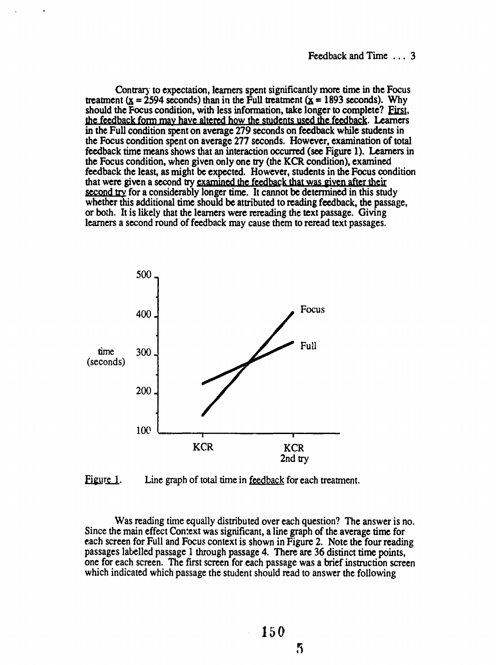Contrary to expectation, learners spent significantly more time in the Focus treatment ( $x = 2594$  seconds) than in the Full treatment ( $x = 1893$  seconds). Why should the Focus condition, with less information, take longer to complete? First, the feedback form may have altered how the students used the feedback. Learners in the Full condition spent on average 279 seconds on feedback while students in the Focus condition spent on average 277 seconds. However, examination of total feedback time means shows that an interaction occurred (see Figure 1). Learners in the Focus condition, when given only one try (the KCR condition), examined feedback the least, as might be expected. However, students in the Focus condition that were given a second try examined the feedback that was given after their second try for a considerably longer time. It cannot be determined in this study whether this additional time should be attributed to reading feedback, the passage, or both. It is likely that the learners were rereading the text passage. Giving learners a second round of feedback may cause them to reread text passages.



Figure 1. Line graph of total time in feedback for each treatment.

Was reading time equally distributed over each question? The answer is no. Since the main effect Con:ext was significant, a line graph of the average time for each screen for Full and Focus context is shown in Figure 2. Note the four reading passages labelled passage 1 through passage 4. There are 36 distinct time points, one for each screen. The first screen for each passage was a brief instruction screen which indicated which passage the student should read to answer the following

 $\overline{\mathfrak{h}}$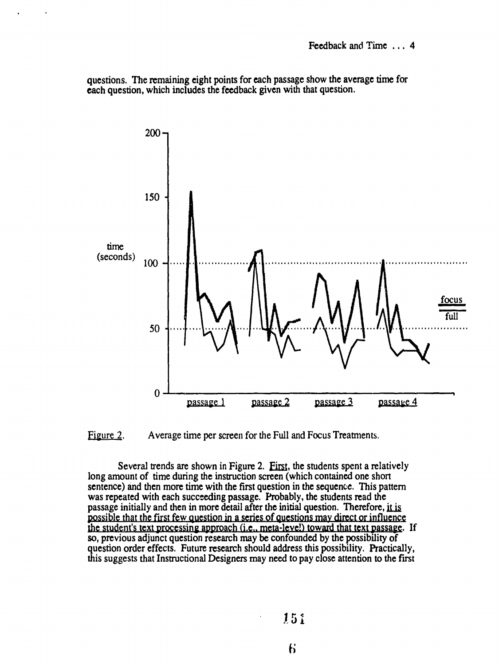questions. The remaining eight points for each passage show the average time for each question, which includes the feedback given with that question.



Figure 2. Average time per screen for the Full and Focus Treatments.

Several trends are shown in Figure 2. First, the students spent a relatively long amount of time during the instruction screen (which contained one short sentence) and then more time with the first question in the sequence. This pattern was repeated with each succeeding passage. Probably, the students read the passage initially and then in more detail after the initial question. Therefore, it is possible that the first few question in a series of questions may direct or influence the student's text processing approach (i.e., meta-leve!) toward that text passage. If so, previous adjunct question research may be confounded by the possibility of question order effects. Future research should address this possibility. Practically, this suggests that Instructional Designers may need to pay close attention to the first

J51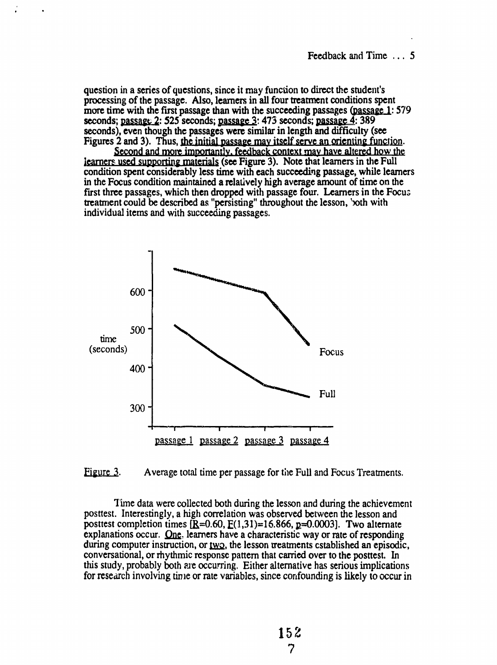question in a series of questions, since it may function to direct the student's processing of the passage. Also, learners in all four treatment conditions spent more time with the first passage than with the succeeding passages (passage 1: 579) seconds; passage  $2: 525$  seconds; passage  $3: 473$  seconds; passage  $\overline{4}: 389$ seconds), even though the passages were similar in length and difficulty (see Figures 2 and 3). Thus, the initial passage may itself serve an orienting function.

Second and more importantly, feedback context may have altered how the icarners used supporting materials (see Figure 3). Note that learners in the Full condition spent considerably less time with each succeeding passage, while learners in the Focus condition maintained a relatively high average amount of time on the first three passages, which then dropped with passage four. Learners in the Focus treatment could be described as "persisting" throughout the lesson, 'both with individual items and with succeeding passages.



#### Figure 3. Average total time per passage for the Full and Focus Treatments.

Time data were collected both during the lesson and during the achievement posttest. Interestingly, a high correlation was observed between the lesson and posttest completion times  $\overline{R}=0.60$ ,  $\overline{E}(1,31)=16.866$ ,  $\overline{R}=0.0003$ . Two alternate explanations occur.  $Q_{\text{ne}}$ , learners have a characteristic way or rate of responding during computer instruction, or two, the lesson treatments established an episodic, conversational, or rhythmic response pattern that carried over to the posttest. In this study, probably both are occurring. Either alternative has serious implications for research involving time or rate variables, since confounding is likely to occur in